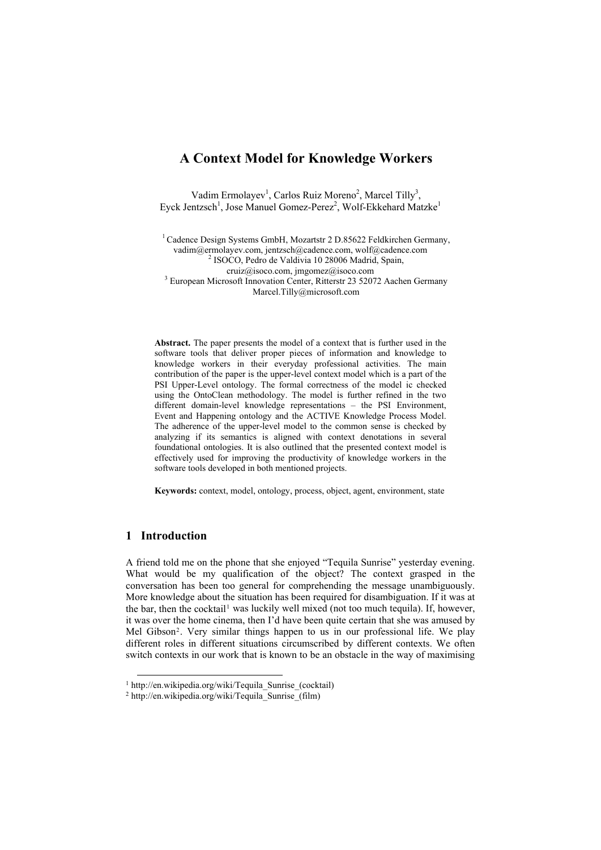# **A Context Model for Knowledge Workers**

Vadim Ermolayev<sup>1</sup>, Carlos Ruiz Moreno<sup>2</sup>, Marcel Tilly<sup>3</sup>, Eyck Jentzsch<sup>1</sup>, Jose Manuel Gomez-Perez<sup>2</sup>, Wolf-Ekkehard Matzke<sup>1</sup>

<sup>1</sup> Cadence Design Systems GmbH, Mozartstr 2 D.85622 Feldkirchen Germany, [vadim@ermolayev.com,](mailto:vadim@ermolayev.com) jentzsch@cadence.com, wolf@cadence.com [2](mailto:vadim@ermolayev.com) <sup>2</sup> ISOCO, Pedro de Valdivia 10 28006 Madrid, Spain, cruiz@isoco.com, jmgomez@isoco.com 3 <sup>3</sup> European Microsoft Innovation Center, Ritterstr 23 52072 Aachen Germany Marcel.Tilly@microsoft.com

**Abstract.** The paper presents the model of a context that is further used in the software tools that deliver proper pieces of information and knowledge to knowledge workers in their everyday professional activities. The main contribution of the paper is the upper-level context model which is a part of the PSI Upper-Level ontology. The formal correctness of the model ic checked using the OntoClean methodology. The model is further refined in the two different domain-level knowledge representations – the PSI Environment, Event and Happening ontology and the ACTIVE Knowledge Process Model. The adherence of the upper-level model to the common sense is checked by analyzing if its semantics is aligned with context denotations in several foundational ontologies. It is also outlined that the presented context model is effectively used for improving the productivity of knowledge workers in the software tools developed in both mentioned projects.

**Keywords:** context, model, ontology, process, object, agent, environment, state

## **1 Introduction**

A friend told me on the phone that she enjoyed "Tequila Sunrise" yesterday evening. What would be my qualification of the object? The context grasped in the conversation has been too general for comprehending the message unambiguously. More knowledge about the situation has been required for disambiguation. If it was at the bar, then the cocktail<sup>[1](#page-0-0)</sup> was luckily well mixed (not too much tequila). If, however, it was over the home cinema, then I'd have been quite certain that she was amused by Mel Gibson[2](#page-0-1). Very similar things happen to us in our professional life. We play different roles in different situations circumscribed by different contexts. We often switch contexts in our work that is known to be an obstacle in the way of maximising

<span id="page-0-0"></span><sup>&</sup>lt;sup>1</sup> http://en.wikipedia.org/wiki/Tequila\_Sunrise\_(cocktail)<sup>2</sup> http://en.wikipedia.org/wiki/Tequila\_Sunrise\_(film)

<span id="page-0-1"></span>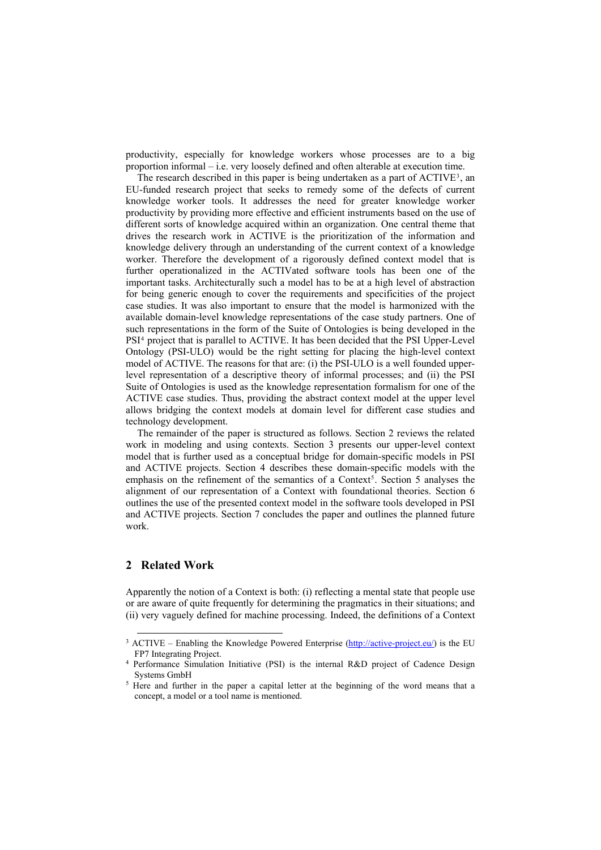productivity, especially for knowledge workers whose processes are to a big proportion informal – i.e. very loosely defined and often alterable at execution time.

The research described in this paper is being undertaken as a part of  $\text{ACTIVE}^3$  $\text{ACTIVE}^3$ , an EU-funded research project that seeks to remedy some of the defects of current knowledge worker tools. It addresses the need for greater knowledge worker productivity by providing more effective and efficient instruments based on the use of different sorts of knowledge acquired within an organization. One central theme that drives the research work in ACTIVE is the prioritization of the information and knowledge delivery through an understanding of the current context of a knowledge worker. Therefore the development of a rigorously defined context model that is further operationalized in the ACTIVated software tools has been one of the important tasks. Architecturally such a model has to be at a high level of abstraction for being generic enough to cover the requirements and specificities of the project case studies. It was also important to ensure that the model is harmonized with the available domain-level knowledge representations of the case study partners. One of such representations in the form of the Suite of Ontologies is being developed in the PSI[4](#page-1-1) project that is parallel to ACTIVE. It has been decided that the PSI Upper-Level Ontology (PSI-ULO) would be the right setting for placing the high-level context model of ACTIVE. The reasons for that are: (i) the PSI-ULO is a well founded upperlevel representation of a descriptive theory of informal processes; and (ii) the PSI Suite of Ontologies is used as the knowledge representation formalism for one of the ACTIVE case studies. Thus, providing the abstract context model at the upper level allows bridging the context models at domain level for different case studies and technology development.

The remainder of the paper is structured as follows. Section 2 reviews the related work in modeling and using contexts. Section 3 presents our upper-level context model that is further used as a conceptual bridge for domain-specific models in PSI and ACTIVE projects. Section 4 describes these domain-specific models with the emphasis on the refinement of the semantics of a Context<sup>[5](#page-1-2)</sup>. Section 5 analyses the alignment of our representation of a Context with foundational theories. Section 6 outlines the use of the presented context model in the software tools developed in PSI and ACTIVE projects. Section 7 concludes the paper and outlines the planned future work.

## **2 Related Work**

Apparently the notion of a Context is both: (i) reflecting a mental state that people use or are aware of quite frequently for determining the pragmatics in their situations; and (ii) very vaguely defined for machine processing. Indeed, the definitions of a Context

<span id="page-1-0"></span> $3$  ACTIVE – Enabling the Knowledge Powered Enterprise ( $\frac{http://active-project.eu/}{http://active-project.eu/})$  is the EU FP7 Integrating Project. 4 Performance Simulation Initiative (PSI) is the internal R&D project of Cadence Design

<span id="page-1-1"></span>Systems GmbH  $<sup>5</sup>$  Here and further in the paper a capital letter at the beginning of the word means that a</sup>

<span id="page-1-2"></span>concept, a model or a tool name is mentioned.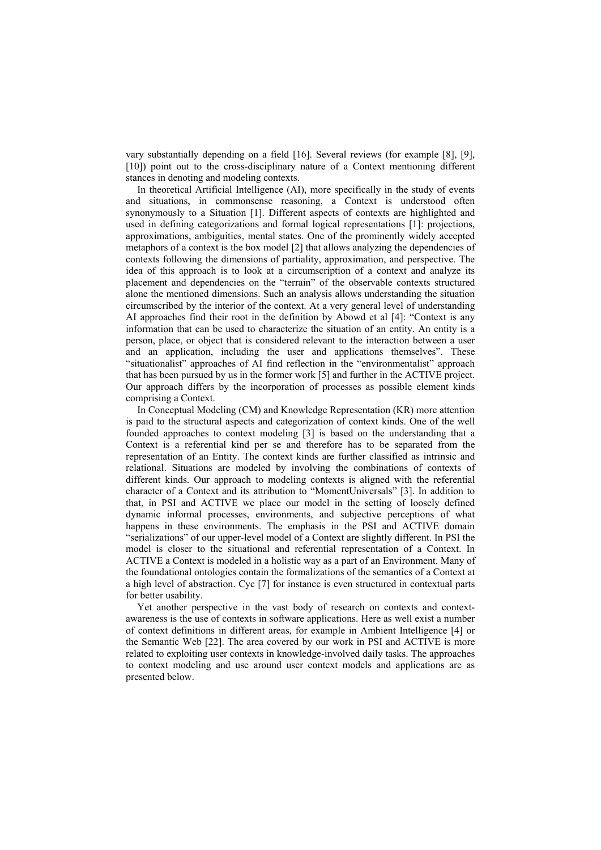vary substantially depending on a field [16]. Several reviews (for example [8], [9], [10]) point out to the cross-disciplinary nature of a Context mentioning different stances in denoting and modeling contexts.

In theoretical Artificial Intelligence (AI), more specifically in the study of events and situations, in commonsense reasoning, a Context is understood often synonymously to a Situation [1]. Different aspects of contexts are highlighted and used in defining categorizations and formal logical representations [1]: projections, approximations, ambiguities, mental states. One of the prominently widely accepted metaphors of a context is the box model [2] that allows analyzing the dependencies of contexts following the dimensions of partiality, approximation, and perspective. The idea of this approach is to look at a circumscription of a context and analyze its placement and dependencies on the "terrain" of the observable contexts structured alone the mentioned dimensions. Such an analysis allows understanding the situation circumscribed by the interior of the context. At a very general level of understanding AI approaches find their root in the definition by Abowd et al [4]: "Context is any information that can be used to characterize the situation of an entity. An entity is a person, place, or object that is considered relevant to the interaction between a user and an application, including the user and applications themselves". These "situationalist" approaches of AI find reflection in the "environmentalist" approach that has been pursued by us in the former work [5] and further in the ACTIVE project. Our approach differs by the incorporation of processes as possible element kinds comprising a Context.

In Conceptual Modeling (CM) and Knowledge Representation (KR) more attention is paid to the structural aspects and categorization of context kinds. One of the well founded approaches to context modeling [3] is based on the understanding that a Context is a referential kind per se and therefore has to be separated from the representation of an Entity. The context kinds are further classified as intrinsic and relational. Situations are modeled by involving the combinations of contexts of different kinds. Our approach to modeling contexts is aligned with the referential character of a Context and its attribution to "MomentUniversals" [3]. In addition to that, in PSI and ACTIVE we place our model in the setting of loosely defined dynamic informal processes, environments, and subjective perceptions of what happens in these environments. The emphasis in the PSI and ACTIVE domain "serializations" of our upper-level model of a Context are slightly different. In PSI the model is closer to the situational and referential representation of a Context. In ACTIVE a Context is modeled in a holistic way as a part of an Environment. Many of the foundational ontologies contain the formalizations of the semantics of a Context at a high level of abstraction. Cyc [7] for instance is even structured in contextual parts for better usability.

Yet another perspective in the vast body of research on contexts and contextawareness is the use of contexts in software applications. Here as well exist a number of context definitions in different areas, for example in Ambient Intelligence [4] or the Semantic Web [22]. The area covered by our work in PSI and ACTIVE is more related to exploiting user contexts in knowledge-involved daily tasks. The approaches to context modeling and use around user context models and applications are as presented below.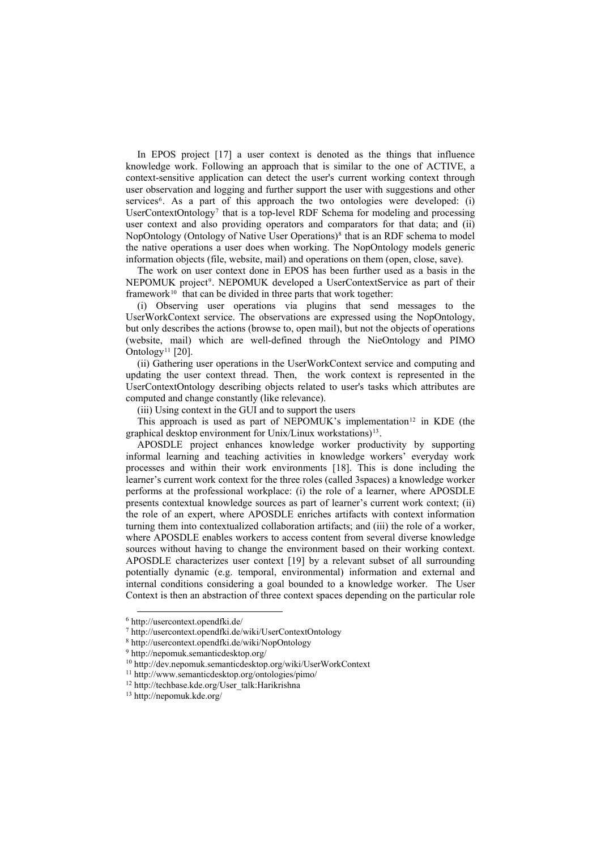In EPOS project [17] a user context is denoted as the things that influence knowledge work. Following an approach that is similar to the one of ACTIVE, a context-sensitive application can detect the user's current working context through user observation and logging and further support the user with suggestions and other services<sup>6</sup>. As a part of this approach the two ontologies were developed: (i) UserContextOntology<sup>[7](#page-3-1)</sup> that is a top-level RDF Schema for modeling and processing user context and also providing operators and comparators for that data; and (ii) NopOntology (Ontology of Native User Operations)<sup>[8](#page-3-2)</sup> that is an RDF schema to model the native operations a user does when working. The NopOntology models generic information objects (file, website, mail) and operations on them (open, close, save).

The work on user context done in EPOS has been further used as a basis in the NEPOMUK project<sup>9</sup>. NEPOMUK developed a UserContextService as part of their framework<sup>[10](#page-3-4)</sup> that can be divided in three parts that work together:

(i) Observing user operations via plugins that send messages to the UserWorkContext service. The observations are expressed using the NopOntology, but only describes the actions (browse to, open mail), but not the objects of operations (website, mail) which are well-defined through the NieOntology and PIMO Ontology<sup>[11](#page-3-5)</sup> [20].

(ii) Gathering user operations in the UserWorkContext service and computing and updating the user context thread. Then, the work context is represented in the UserContextOntology describing objects related to user's tasks which attributes are computed and change constantly (like relevance).

(iii) Using context in the GUI and to support the users

This approach is used as part of NEPOMUK's implementation<sup>[12](#page-3-6)</sup> in KDE (the graphical desktop environment for Unix/Linux workstations)[13](#page-3-7).

APOSDLE project enhances knowledge worker productivity by supporting informal learning and teaching activities in knowledge workers' everyday work processes and within their work environments [18]. This is done including the learner's current work context for the three roles (called 3spaces) a knowledge worker performs at the professional workplace: (i) the role of a learner, where APOSDLE presents contextual knowledge sources as part of learner's current work context; (ii) the role of an expert, where APOSDLE enriches artifacts with context information turning them into contextualized collaboration artifacts; and (iii) the role of a worker, where APOSDLE enables workers to access content from several diverse knowledge sources without having to change the environment based on their working context. APOSDLE characterizes user context [19] by a relevant subset of all surrounding potentially dynamic (e.g. temporal, environmental) information and external and internal conditions considering a goal bounded to a knowledge worker. The User Context is then an abstraction of three context spaces depending on the particular role

<span id="page-3-1"></span><span id="page-3-0"></span> <sup>6</sup> http://usercontext.opendfki.de/

<sup>7</sup> http://usercontext.opendfki.de/wiki/UserContextOntology

<span id="page-3-2"></span><sup>8</sup> http://usercontext.opendfki.de/wiki/NopOntology

<span id="page-3-3"></span><sup>9</sup> http://nepomuk.semanticdesktop.org/

<span id="page-3-4"></span><sup>&</sup>lt;sup>10</sup> http://dev.nepomuk.semanticdesktop.org/wiki/UserWorkContext<sup>11</sup> http://www.semanticdesktop.org/ontologies/pimo/<br><sup>12</sup> http://techbase.kde.org/User\_talk:Harikrishna

<span id="page-3-5"></span>

<span id="page-3-7"></span><span id="page-3-6"></span><sup>13</sup> http://nepomuk.kde.org/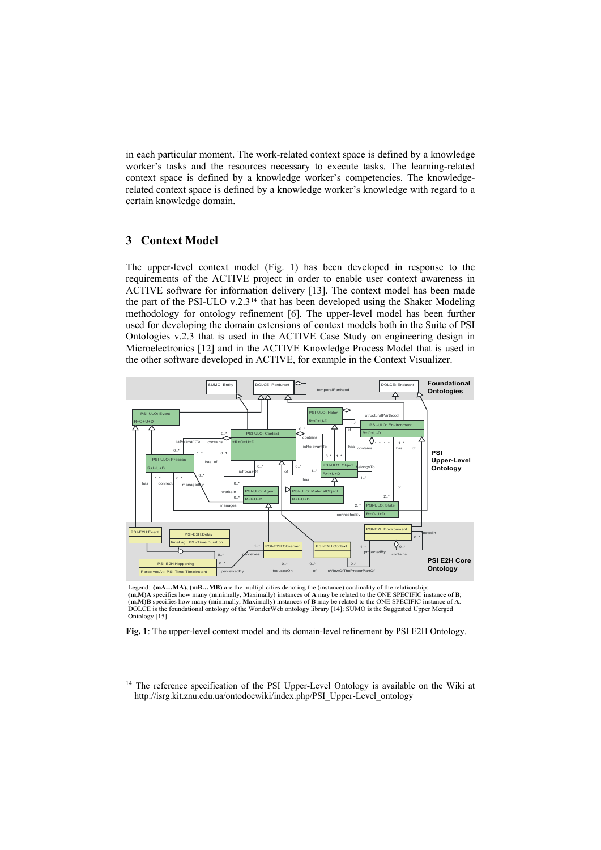in each particular moment. The work-related context space is defined by a knowledge worker's tasks and the resources necessary to execute tasks. The learning-related context space is defined by a knowledge worker's competencies. The knowledgerelated context space is defined by a knowledge worker's knowledge with regard to a certain knowledge domain.

## **3 Context Model**

The upper-level context model (Fig. 1) has been developed in response to the requirements of the ACTIVE project in order to enable user context awareness in ACTIVE software for information delivery [13]. The context model has been made the part of the PSI-ULO v.2.3[14](#page-4-0) that has been developed using the Shaker Modeling methodology for ontology refinement [6]. The upper-level model has been further used for developing the domain extensions of context models both in the Suite of PSI Ontologies v.2.3 that is used in the ACTIVE Case Study on engineering design in Microelectronics [12] and in the ACTIVE Knowledge Process Model that is used in the other software developed in ACTIVE, for example in the Context Visualizer.



Legend: **(mA...MA), (mB...MB)** are the multiplicities denoting the (instance) cardinality of the relationship: (m, M)A specifies how many (minimally, Maximally) instances of A may be related to the ONE SPECIFIC instance of B;<br>(m, M)B specifies how many (minimally, Maximally) instances of B may be related to the ONE SPECIFIC instanc DOLCE is the foundational ontology of the WonderWeb ontology library [14]; SUMO is the Suggested Upper Merged Ontology [15].

**Fig. 1**: The upper-level context model and its domain-level refinement by PSI E2H Ontology.

<span id="page-4-0"></span><sup>&</sup>lt;sup>14</sup> The reference specification of the PSI Upper-Level Ontology is available on the Wiki at http://isrg.kit.znu.edu.ua/ontodocwiki/index.php/PSI\_Upper-Level\_ontology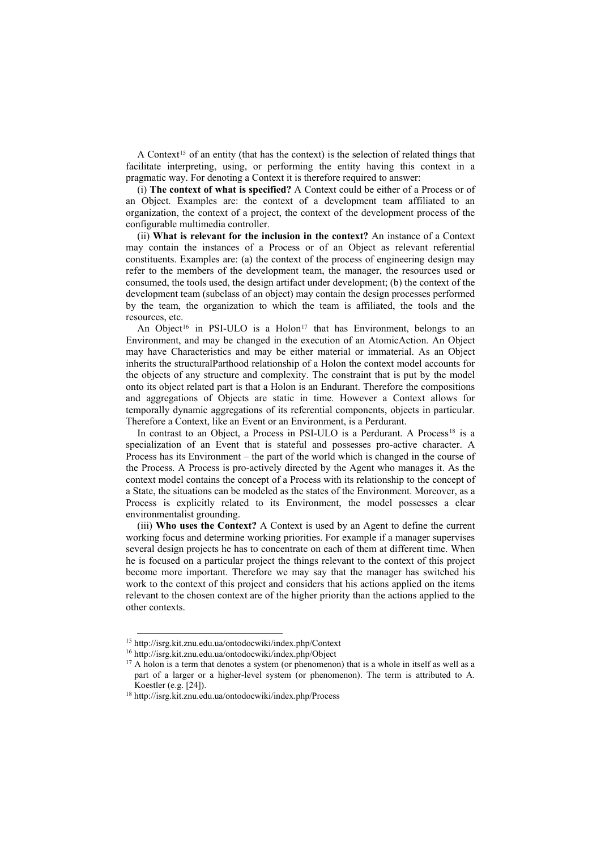A Context<sup>[15](#page-5-0)</sup> of an entity (that has the context) is the selection of related things that facilitate interpreting, using, or performing the entity having this context in a pragmatic way. For denoting a Context it is therefore required to answer:

(i) **The context of what is specified?** A Context could be either of a Process or of an Object. Examples are: the context of a development team affiliated to an organization, the context of a project, the context of the development process of the configurable multimedia controller.

(ii) **What is relevant for the inclusion in the context?** An instance of a Context may contain the instances of a Process or of an Object as relevant referential constituents. Examples are: (a) the context of the process of engineering design may refer to the members of the development team, the manager, the resources used or consumed, the tools used, the design artifact under development; (b) the context of the development team (subclass of an object) may contain the design processes performed by the team, the organization to which the team is affiliated, the tools and the resources, etc.

An Object<sup>[16](#page-5-1)</sup> in PSI-ULO is a Holon<sup>[17](#page-5-2)</sup> that has Environment, belongs to an Environment, and may be changed in the execution of an AtomicAction. An Object may have Characteristics and may be either material or immaterial. As an Object inherits the structuralParthood relationship of a Holon the context model accounts for the objects of any structure and complexity. The constraint that is put by the model onto its object related part is that a Holon is an Endurant. Therefore the compositions and aggregations of Objects are static in time. However a Context allows for temporally dynamic aggregations of its referential components, objects in particular. Therefore a Context, like an Event or an Environment, is a Perdurant.

In contrast to an Object, a Process in PSI-ULO is a Perdurant. A Process<sup>[18](#page-5-3)</sup> is a specialization of an Event that is stateful and possesses pro-active character. A Process has its Environment – the part of the world which is changed in the course of the Process. A Process is pro-actively directed by the Agent who manages it. As the context model contains the concept of a Process with its relationship to the concept of a State, the situations can be modeled as the states of the Environment. Moreover, as a Process is explicitly related to its Environment, the model possesses a clear environmentalist grounding.

(iii) **Who uses the Context?** A Context is used by an Agent to define the current working focus and determine working priorities. For example if a manager supervises several design projects he has to concentrate on each of them at different time. When he is focused on a particular project the things relevant to the context of this project become more important. Therefore we may say that the manager has switched his work to the context of this project and considers that his actions applied on the items relevant to the chosen context are of the higher priority than the actions applied to the other contexts.

<span id="page-5-0"></span> <sup>15</sup> http://isrg.kit.znu.edu.ua/ontodocwiki/index.php/Context

<sup>16</sup> http://isrg.kit.znu.edu.ua/ontodocwiki/index.php/Object

<span id="page-5-2"></span><span id="page-5-1"></span><sup>&</sup>lt;sup>17</sup> A holon is a term that denotes a system (or phenomenon) that is a whole in itself as well as a part of a larger or a higher-level system (or phenomenon). The term is attributed to A. Koestler (e.g. [24]). 18 http://isrg.kit.znu.edu.ua/ontodocwiki/index.php/Process

<span id="page-5-3"></span>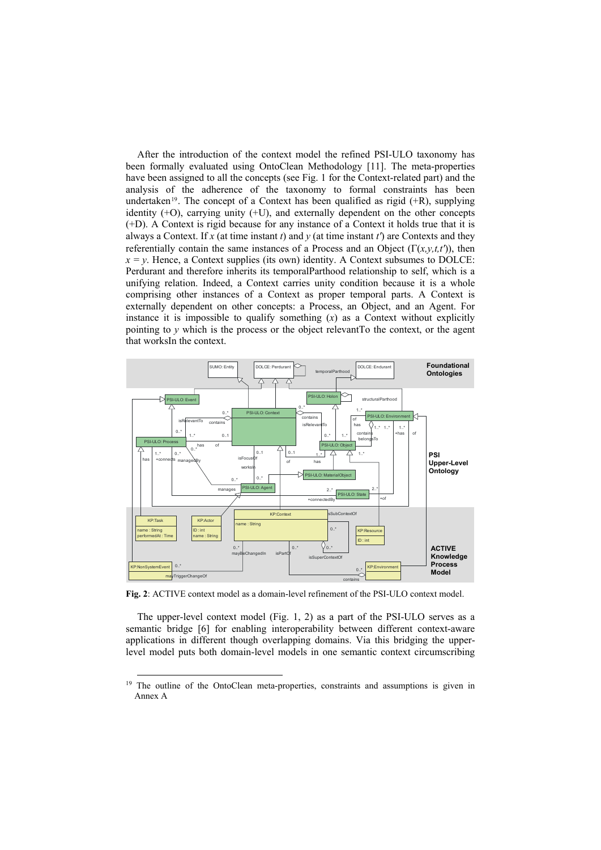After the introduction of the context model the refined PSI-ULO taxonomy has been formally evaluated using OntoClean Methodology [11]. The meta-properties have been assigned to all the concepts (see Fig. 1 for the Context-related part) and the analysis of the adherence of the taxonomy to formal constraints has been undertaken<sup>[19](#page-6-0)</sup>. The concept of a Context has been qualified as rigid  $(+R)$ , supplying identity (+O), carrying unity (+U), and externally dependent on the other concepts (+D). A Context is rigid because for any instance of a Context it holds true that it is always a Context. If *x* (at time instant *t*) and *y* (at time instant *t'*) are Contexts and they referentially contain the same instances of a Process and an Object  $(\Gamma(x, y, t, t'))$ , then  $x = y$ . Hence, a Context supplies (its own) identity. A Context subsumes to DOLCE: Perdurant and therefore inherits its temporalParthood relationship to self, which is a unifying relation. Indeed, a Context carries unity condition because it is a whole comprising other instances of a Context as proper temporal parts. A Context is externally dependent on other concepts: a Process, an Object, and an Agent. For instance it is impossible to qualify something  $(x)$  as a Context without explicitly pointing to  $\nu$  which is the process or the object relevant To the context, or the agent that worksIn the context.



**Fig. 2**: ACTIVE context model as a domain-level refinement of the PSI-ULO context model.

The upper-level context model (Fig. 1, 2) as a part of the PSI-ULO serves as a semantic bridge [6] for enabling interoperability between different context-aware applications in different though overlapping domains. Via this bridging the upperlevel model puts both domain-level models in one semantic context circumscribing

<span id="page-6-0"></span><sup>&</sup>lt;sup>19</sup> The outline of the OntoClean meta-properties, constraints and assumptions is given in Annex A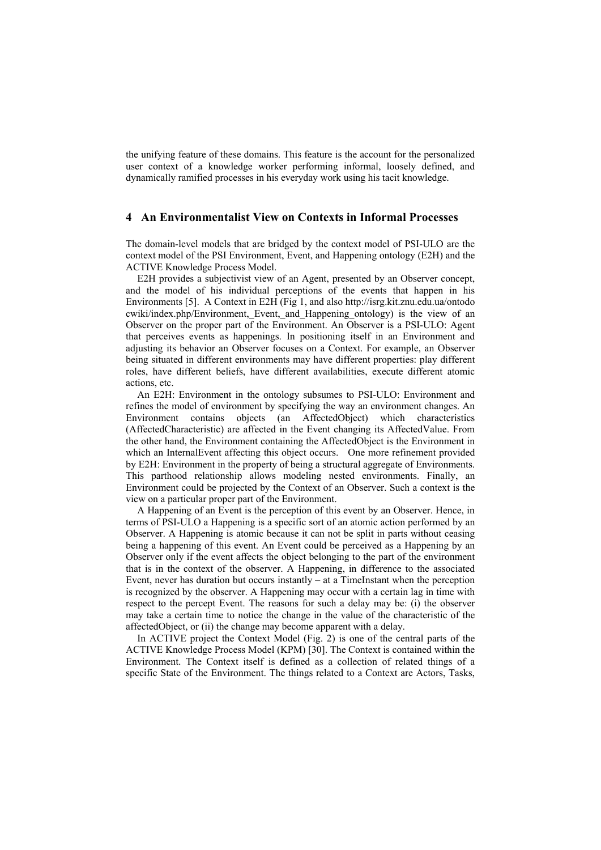the unifying feature of these domains. This feature is the account for the personalized user context of a knowledge worker performing informal, loosely defined, and dynamically ramified processes in his everyday work using his tacit knowledge.

### **4 An Environmentalist View on Contexts in Informal Processes**

The domain-level models that are bridged by the context model of PSI-ULO are the context model of the PSI Environment, Event, and Happening ontology (E2H) and the ACTIVE Knowledge Process Model.

E2H provides a subjectivist view of an Agent, presented by an Observer concept, and the model of his individual perceptions of the events that happen in his Environments [5]. A Context in E2H (Fig 1, and also http://isrg.kit.znu.edu.ua/ontodo cwiki/index.php/Environment, Event, and Happening ontology) is the view of an Observer on the proper part of the Environment. An Observer is a PSI-ULO: Agent that perceives events as happenings. In positioning itself in an Environment and adjusting its behavior an Observer focuses on a Context. For example, an Observer being situated in different environments may have different properties: play different roles, have different beliefs, have different availabilities, execute different atomic actions, etc.

An E2H: Environment in the ontology subsumes to PSI-ULO: Environment and refines the model of environment by specifying the way an environment changes. An Environment contains objects (an AffectedObject) which characteristics (AffectedCharacteristic) are affected in the Event changing its AffectedValue. From the other hand, the Environment containing the AffectedObject is the Environment in which an InternalEvent affecting this object occurs. One more refinement provided by E2H: Environment in the property of being a structural aggregate of Environments. This parthood relationship allows modeling nested environments. Finally, an Environment could be projected by the Context of an Observer. Such a context is the view on a particular proper part of the Environment.

A Happening of an Event is the perception of this event by an Observer. Hence, in terms of PSI-ULO a Happening is a specific sort of an atomic action performed by an Observer. A Happening is atomic because it can not be split in parts without ceasing being a happening of this event. An Event could be perceived as a Happening by an Observer only if the event affects the object belonging to the part of the environment that is in the context of the observer. A Happening, in difference to the associated Event, never has duration but occurs instantly – at a TimeInstant when the perception is recognized by the observer. A Happening may occur with a certain lag in time with respect to the percept Event. The reasons for such a delay may be: (i) the observer may take a certain time to notice the change in the value of the characteristic of the affectedObject, or (ii) the change may become apparent with a delay.

In ACTIVE project the Context Model (Fig. 2) is one of the central parts of the ACTIVE Knowledge Process Model (KPM) [30]. The Context is contained within the Environment. The Context itself is defined as a collection of related things of a specific State of the Environment. The things related to a Context are Actors, Tasks,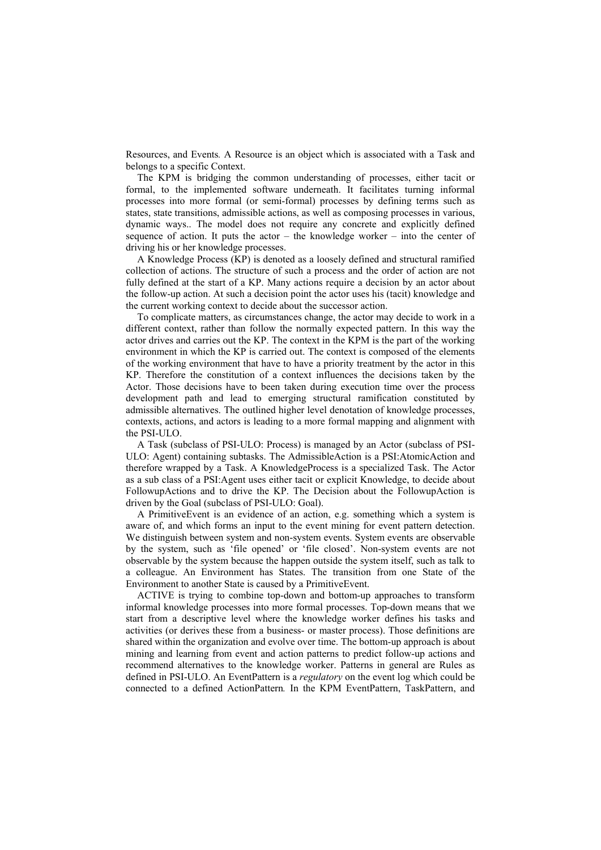Resources, and Events*.* A Resource is an object which is associated with a Task and belongs to a specific Context.

The KPM is bridging the common understanding of processes, either tacit or formal, to the implemented software underneath. It facilitates turning informal processes into more formal (or semi-formal) processes by defining terms such as states, state transitions, admissible actions, as well as composing processes in various, dynamic ways.. The model does not require any concrete and explicitly defined sequence of action. It puts the actor – the knowledge worker – into the center of driving his or her knowledge processes.

A Knowledge Process (KP) is denoted as a loosely defined and structural ramified collection of actions. The structure of such a process and the order of action are not fully defined at the start of a KP. Many actions require a decision by an actor about the follow-up action. At such a decision point the actor uses his (tacit) knowledge and the current working context to decide about the successor action.

To complicate matters, as circumstances change, the actor may decide to work in a different context, rather than follow the normally expected pattern. In this way the actor drives and carries out the KP. The context in the KPM is the part of the working environment in which the KP is carried out. The context is composed of the elements of the working environment that have to have a priority treatment by the actor in this KP. Therefore the constitution of a context influences the decisions taken by the Actor. Those decisions have to been taken during execution time over the process development path and lead to emerging structural ramification constituted by admissible alternatives. The outlined higher level denotation of knowledge processes, contexts, actions, and actors is leading to a more formal mapping and alignment with the PSI-ULO.

A Task (subclass of PSI-ULO: Process) is managed by an Actor (subclass of PSI-ULO: Agent) containing subtasks. The AdmissibleAction is a PSI:AtomicAction and therefore wrapped by a Task. A KnowledgeProcess is a specialized Task. The Actor as a sub class of a PSI:Agent uses either tacit or explicit Knowledge, to decide about FollowupActions and to drive the KP. The Decision about the FollowupAction is driven by the Goal (subclass of PSI-ULO: Goal).

A PrimitiveEvent is an evidence of an action, e.g. something which a system is aware of, and which forms an input to the event mining for event pattern detection. We distinguish between system and non-system events. System events are observable by the system, such as 'file opened' or 'file closed'. Non-system events are not observable by the system because the happen outside the system itself, such as talk to a colleague. An Environment has States. The transition from one State of the Environment to another State is caused by a PrimitiveEvent.

ACTIVE is trying to combine top-down and bottom-up approaches to transform informal knowledge processes into more formal processes. Top-down means that we start from a descriptive level where the knowledge worker defines his tasks and activities (or derives these from a business- or master process). Those definitions are shared within the organization and evolve over time. The bottom-up approach is about mining and learning from event and action patterns to predict follow-up actions and recommend alternatives to the knowledge worker. Patterns in general are Rules as defined in PSI-ULO. An EventPattern is a *regulatory* on the event log which could be connected to a defined ActionPattern*.* In the KPM EventPattern, TaskPattern, and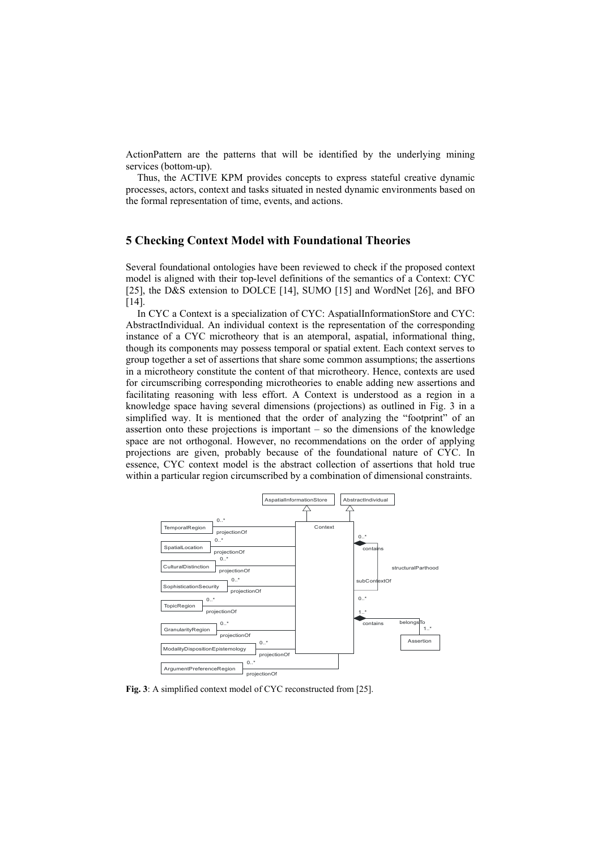ActionPattern are the patterns that will be identified by the underlying mining services (bottom-up).

Thus, the ACTIVE KPM provides concepts to express stateful creative dynamic processes, actors, context and tasks situated in nested dynamic environments based on the formal representation of time, events, and actions.

#### **5 Checking Context Model with Foundational Theories**

Several foundational ontologies have been reviewed to check if the proposed context model is aligned with their top-level definitions of the semantics of a Context: CYC [25], the D&S extension to DOLCE [14], SUMO [15] and WordNet [26], and BFO [14].

In CYC a Context is a specialization of CYC: AspatialInformationStore and CYC: AbstractIndividual. An individual context is the representation of the corresponding instance of a CYC microtheory that is an atemporal, aspatial, informational thing, though its components may possess temporal or spatial extent. Each context serves to group together a set of assertions that share some common assumptions; the assertions in a microtheory constitute the content of that microtheory. Hence, contexts are used for circumscribing corresponding microtheories to enable adding new assertions and facilitating reasoning with less effort. A Context is understood as a region in a knowledge space having several dimensions (projections) as outlined in Fig. 3 in a simplified way. It is mentioned that the order of analyzing the "footprint" of an assertion onto these projections is important – so the dimensions of the knowledge space are not orthogonal. However, no recommendations on the order of applying projections are given, probably because of the foundational nature of CYC. In essence, CYC context model is the abstract collection of assertions that hold true within a particular region circumscribed by a combination of dimensional constraints.



**Fig. 3**: A simplified context model of CYC reconstructed from [25].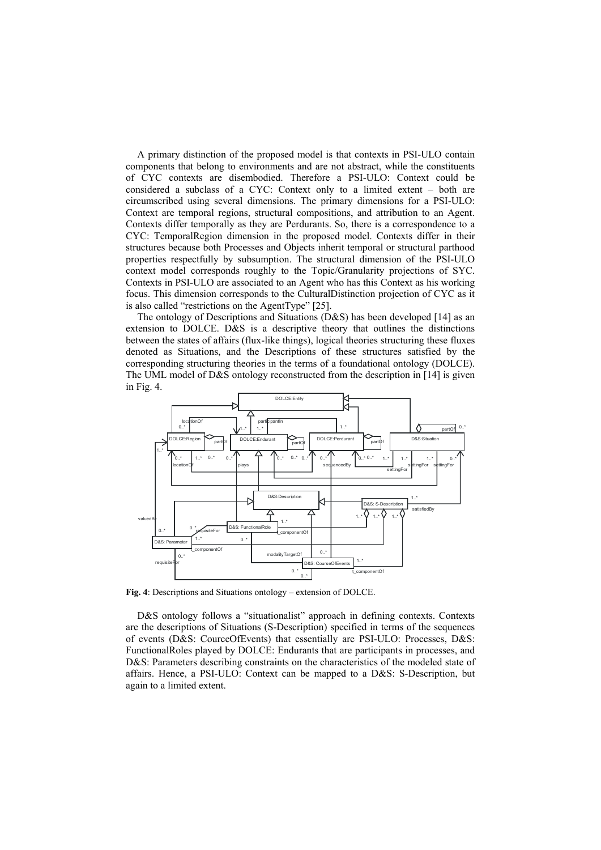A primary distinction of the proposed model is that contexts in PSI-ULO contain components that belong to environments and are not abstract, while the constituents of CYC contexts are disembodied. Therefore a PSI-ULO: Context could be considered a subclass of a CYC: Context only to a limited extent – both are circumscribed using several dimensions. The primary dimensions for a PSI-ULO: Context are temporal regions, structural compositions, and attribution to an Agent. Contexts differ temporally as they are Perdurants. So, there is a correspondence to a CYC: TemporalRegion dimension in the proposed model. Contexts differ in their structures because both Processes and Objects inherit temporal or structural parthood properties respectfully by subsumption. The structural dimension of the PSI-ULO context model corresponds roughly to the Topic/Granularity projections of SYC. Contexts in PSI-ULO are associated to an Agent who has this Context as his working focus. This dimension corresponds to the CulturalDistinction projection of CYC as it is also called "restrictions on the AgentType" [25].

The ontology of Descriptions and Situations (D&S) has been developed [14] as an extension to DOLCE. D&S is a descriptive theory that outlines the distinctions between the states of affairs (flux-like things), logical theories structuring these fluxes denoted as Situations, and the Descriptions of these structures satisfied by the corresponding structuring theories in the terms of a foundational ontology (DOLCE). The UML model of D&S ontology reconstructed from the description in [14] is given in Fig. 4.



**Fig. 4**: Descriptions and Situations ontology – extension of DOLCE.

D&S ontology follows a "situationalist" approach in defining contexts. Contexts are the descriptions of Situations (S-Description) specified in terms of the sequences of events (D&S: CourceOfEvents) that essentially are PSI-ULO: Processes, D&S: FunctionalRoles played by DOLCE: Endurants that are participants in processes, and D&S: Parameters describing constraints on the characteristics of the modeled state of affairs. Hence, a PSI-ULO: Context can be mapped to a D&S: S-Description, but again to a limited extent.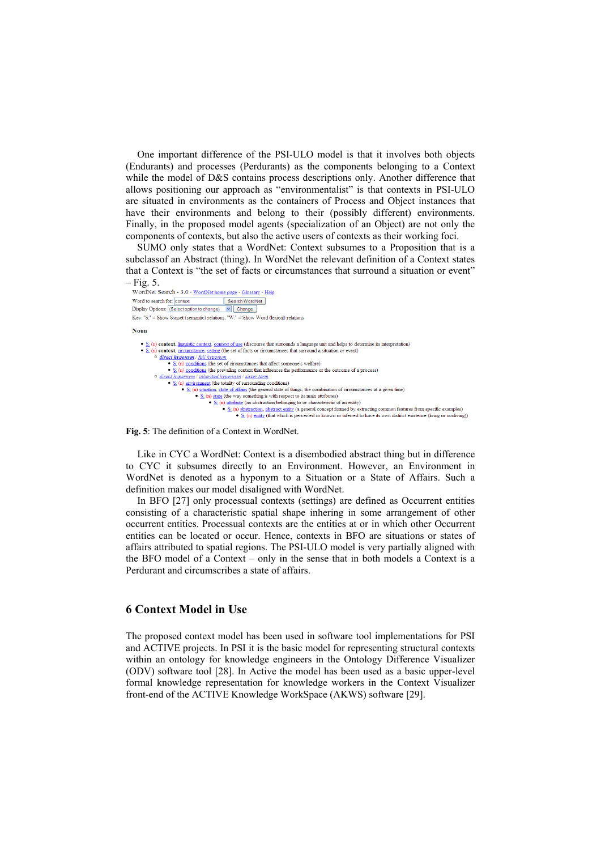One important difference of the PSI-ULO model is that it involves both objects (Endurants) and processes (Perdurants) as the components belonging to a Context while the model of D&S contains process descriptions only. Another difference that allows positioning our approach as "environmentalist" is that contexts in PSI-ULO are situated in environments as the containers of Process and Object instances that have their environments and belong to their (possibly different) environments. Finally, in the proposed model agents (specialization of an Object) are not only the components of contexts, but also the active users of contexts as their working foci.

SUMO only states that a WordNet: Context subsumes to a Proposition that is a subclassof an Abstract (thing). In WordNet the relevant definition of a Context states that a Context is "the set of facts or circumstances that surround a situation or event"



**Fig. 5**: The definition of a Context in WordNet.

Like in CYC a WordNet: Context is a disembodied abstract thing but in difference to CYC it subsumes directly to an Environment. However, an Environment in WordNet is denoted as a hyponym to a Situation or a State of Affairs. Such a definition makes our model disaligned with WordNet.

In BFO [27] only processual contexts (settings) are defined as Occurrent entities consisting of a characteristic spatial shape inhering in some arrangement of other occurrent entities. Processual contexts are the entities at or in which other Occurrent entities can be located or occur. Hence, contexts in BFO are situations or states of affairs attributed to spatial regions. The PSI-ULO model is very partially aligned with the BFO model of a Context – only in the sense that in both models a Context is a Perdurant and circumscribes a state of affairs.

#### **6 Context Model in Use**

The proposed context model has been used in software tool implementations for PSI and ACTIVE projects. In PSI it is the basic model for representing structural contexts within an ontology for knowledge engineers in the Ontology Difference Visualizer (ODV) software tool [28]. In Active the model has been used as a basic upper-level formal knowledge representation for knowledge workers in the Context Visualizer front-end of the ACTIVE Knowledge WorkSpace (AKWS) software [29].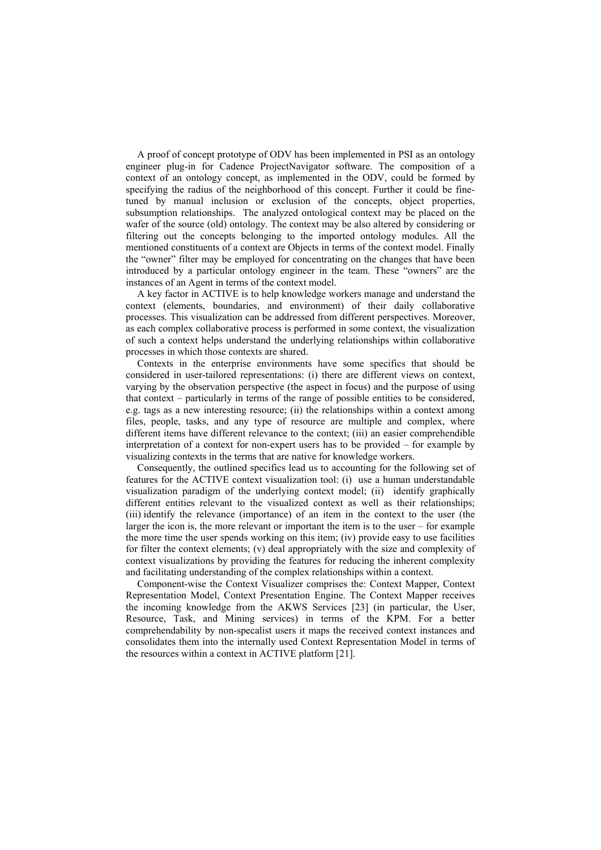A proof of concept prototype of ODV has been implemented in PSI as an ontology engineer plug-in for Cadence ProjectNavigator software. The composition of a context of an ontology concept, as implemented in the ODV, could be formed by specifying the radius of the neighborhood of this concept. Further it could be finetuned by manual inclusion or exclusion of the concepts, object properties, subsumption relationships. The analyzed ontological context may be placed on the wafer of the source (old) ontology. The context may be also altered by considering or filtering out the concepts belonging to the imported ontology modules. All the mentioned constituents of a context are Objects in terms of the context model. Finally the "owner" filter may be employed for concentrating on the changes that have been introduced by a particular ontology engineer in the team. These "owners" are the instances of an Agent in terms of the context model.

A key factor in ACTIVE is to help knowledge workers manage and understand the context (elements, boundaries, and environment) of their daily collaborative processes. This visualization can be addressed from different perspectives. Moreover, as each complex collaborative process is performed in some context, the visualization of such a context helps understand the underlying relationships within collaborative processes in which those contexts are shared.

Contexts in the enterprise environments have some specifics that should be considered in user-tailored representations: (i) there are different views on context, varying by the observation perspective (the aspect in focus) and the purpose of using that context – particularly in terms of the range of possible entities to be considered, e.g. tags as a new interesting resource; (ii) the relationships within a context among files, people, tasks, and any type of resource are multiple and complex, where different items have different relevance to the context; (iii) an easier comprehendible interpretation of a context for non-expert users has to be provided – for example by visualizing contexts in the terms that are native for knowledge workers.

Consequently, the outlined specifics lead us to accounting for the following set of features for the ACTIVE context visualization tool: (i) use a human understandable visualization paradigm of the underlying context model; (ii) identify graphically different entities relevant to the visualized context as well as their relationships; (iii) identify the relevance (importance) of an item in the context to the user (the larger the icon is, the more relevant or important the item is to the user – for example the more time the user spends working on this item; (iv) provide easy to use facilities for filter the context elements; (v) deal appropriately with the size and complexity of context visualizations by providing the features for reducing the inherent complexity and facilitating understanding of the complex relationships within a context.

Component-wise the Context Visualizer comprises the: Context Mapper, Context Representation Model, Context Presentation Engine. The Context Mapper receives the incoming knowledge from the AKWS Services [23] (in particular, the User, Resource, Task, and Mining services) in terms of the KPM. For a better comprehendability by non-specalist users it maps the received context instances and consolidates them into the internally used Context Representation Model in terms of the resources within a context in ACTIVE platform [21].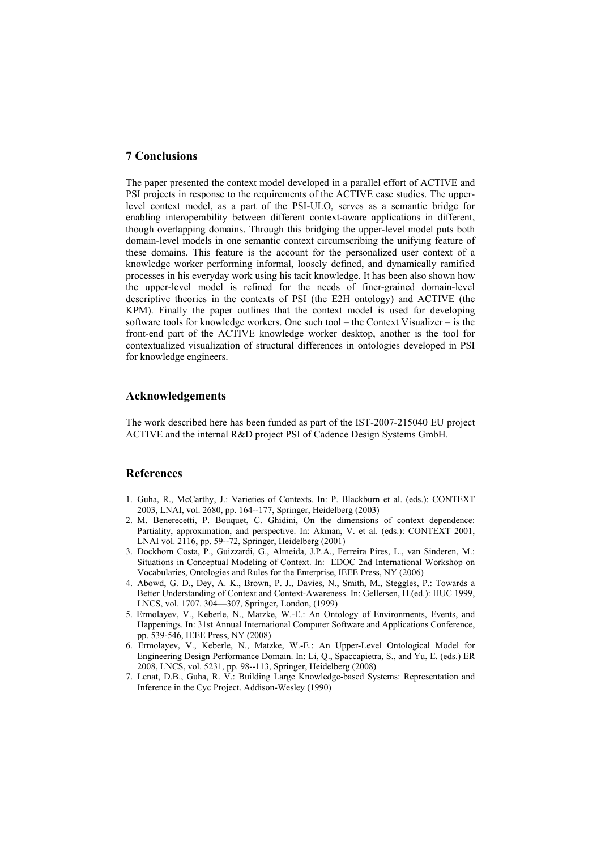### **7 Conclusions**

The paper presented the context model developed in a parallel effort of ACTIVE and PSI projects in response to the requirements of the ACTIVE case studies. The upperlevel context model, as a part of the PSI-ULO, serves as a semantic bridge for enabling interoperability between different context-aware applications in different, though overlapping domains. Through this bridging the upper-level model puts both domain-level models in one semantic context circumscribing the unifying feature of these domains. This feature is the account for the personalized user context of a knowledge worker performing informal, loosely defined, and dynamically ramified processes in his everyday work using his tacit knowledge. It has been also shown how the upper-level model is refined for the needs of finer-grained domain-level descriptive theories in the contexts of PSI (the E2H ontology) and ACTIVE (the KPM). Finally the paper outlines that the context model is used for developing software tools for knowledge workers. One such tool – the Context Visualizer – is the front-end part of the ACTIVE knowledge worker desktop, another is the tool for contextualized visualization of structural differences in ontologies developed in PSI for knowledge engineers.

#### **Acknowledgements**

The work described here has been funded as part of the IST-2007-215040 EU project ACTIVE and the internal R&D project PSI of Cadence Design Systems GmbH.

#### **References**

- 1. Guha, R., McCarthy, J.: Varieties of Contexts. In: P. Blackburn et al. (eds.): CONTEXT 2003, LNAI, vol. 2680, pp. 164--177, Springer, Heidelberg (2003)
- 2. M. Benerecetti, P. Bouquet, C. Ghidini, On the dimensions of context dependence: Partiality, approximation, and perspective. In: Akman, V. et al. (eds.): CONTEXT 2001, LNAI vol. 2116, pp. 59--72, Springer, Heidelberg (2001)
- 3. Dockhorn Costa, P., Guizzardi, G., Almeida, J.P.A., Ferreira Pires, L., van Sinderen, M.: Situations in Conceptual Modeling of Context. In: EDOC 2nd International Workshop on Vocabularies, Ontologies and Rules for the Enterprise, IEEE Press, NY (2006)
- 4. Abowd, G. D., Dey, A. K., Brown, P. J., Davies, N., Smith, M., Steggles, P.: Towards a Better Understanding of Context and Context-Awareness. In: Gellersen, H.(ed.): HUC 1999, LNCS, vol. 1707. 304—307, Springer, London, (1999)
- 5. Ermolayev, V., Keberle, N., Matzke, W.-E.: An Ontology of Environments, Events, and Happenings. In: 31st Annual International Computer Software and Applications Conference, pp. 539-546, IEEE Press, NY (2008)
- 6. Ermolayev, V., Keberle, N., Matzke, W.-E.: An Upper-Level Ontological Model for Engineering Design Performance Domain. In: Li, Q., Spaccapietra, S., and Yu, E. (eds.) ER 2008, LNCS, vol. 5231, pp. 98--113, Springer, Heidelberg (2008)
- 7. Lenat, D.B., Guha, R. V.: Building Large Knowledge-based Systems: Representation and Inference in the Cyc Project. Addison-Wesley (1990)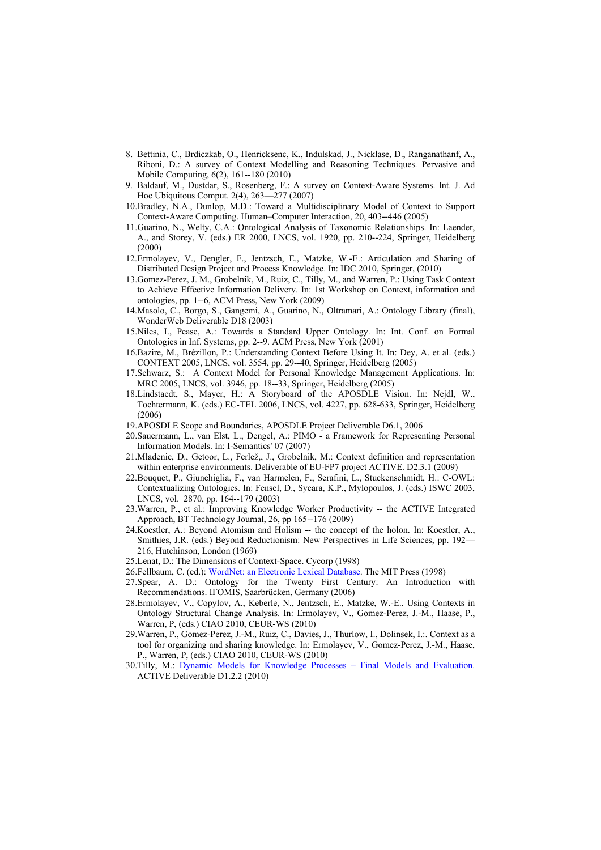- 8. Bettinia, C., Brdiczkab, O., Henricksenc, K., Indulskad, J., Nicklase, D., Ranganathanf, A., Riboni, D.: A survey of Context Modelling and Reasoning Techniques. Pervasive and Mobile Computing, 6(2), 161--180 (2010)
- 9. Baldauf, M., Dustdar, S., Rosenberg, F.: A survey on Context-Aware Systems. Int. J. Ad Hoc Ubiquitous Comput. 2(4), 263—277 (2007)
- 10. Bradley, N.A., Dunlop, M.D.: Toward a Multidisciplinary Model of Context to Support Context-Aware Computing. Human–Computer Interaction, 20, 403--446 (2005)
- 11. Guarino, N., Welty, C.A.: Ontological Analysis of Taxonomic Relationships. In: Laender, A., and Storey, V. (eds.) ER 2000, LNCS, vol. 1920, pp. 210--224, Springer, Heidelberg (2000)
- 12. Ermolayev, V., Dengler, F., Jentzsch, E., Matzke, W.-E.: Articulation and Sharing of Distributed Design Project and Process Knowledge. In: IDC 2010, Springer, (2010)
- 13. Gomez-Perez, J. M., Grobelnik, M., Ruiz, C., Tilly, M., and Warren, P.: Using Task Context to Achieve Effective Information Delivery. In: 1st Workshop on Context, information and ontologies, pp. 1--6, ACM Press, New York (2009)
- 14. Masolo, C., Borgo, S., Gangemi, A., Guarino, N., Oltramari, A.: Ontology Library (final), WonderWeb Deliverable D18 (2003)
- 15. Niles, I., Pease, A.: Towards a Standard Upper Ontology. In: Int. Conf. on Formal Ontologies in Inf. Systems, pp. 2--9. ACM Press, New York (2001)
- 16. Bazire, M., Brézillon, P.: Understanding Context Before Using It. In: Dey, A. et al. (eds.) CONTEXT 2005, LNCS, vol. 3554, pp. 29--40, Springer, Heidelberg (2005)
- 17. Schwarz, S.: A Context Model for Personal Knowledge Management Applications. In: MRC 2005, LNCS, vol. 3946, pp. 18--33, Springer, Heidelberg (2005)
- 18. Lindstaedt, S., Mayer, H.: A Storyboard of the APOSDLE Vision. In: Nejdl, W., Tochtermann, K. (eds.) EC-TEL 2006, LNCS, vol. 4227, pp. 628-633, Springer, Heidelberg (2006)
- 19. APOSDLE Scope and Boundaries, APOSDLE Project Deliverable D6.1, 2006
- 20. Sauermann, L., [van Elst,](http://www.dfki.uni-kl.de/%7Eelst/) L., [Dengel,](http://www3.dfki.uni-kl.de/agd/dengel/content/index_ger.html) A.: PIMO a Framework for Representing Personal Information Models. In: I-Semantics' 07 (2007)
- 21. Mladenic, D., Getoor, L., Ferlež,, J., Grobelnik, M.: Context definition and representation within enterprise environments. Deliverable of EU-FP7 project ACTIVE. D2.3.1 (2009)
- 22. Bouquet, P., Giunchiglia, F., van Harmelen, F., Serafini, L., Stuckenschmidt, H.: C-OWL: Contextualizing Ontologies. In: Fensel, D., Sycara, K.P., Mylopoulos, J. (eds.) ISWC 2003, LNCS, vol. 2870, pp. 164--179 (2003)
- 23. Warren, P., et al.: Improving Knowledge Worker Productivity -- the ACTIVE Integrated Approach, BT Technology Journal, 26, pp 165--176 (2009)
- 24. Koestler, A.: Beyond Atomism and Holism -- the concept of the holon. In: Koestler, A., Smithies, J.R. (eds.) Beyond Reductionism: New Perspectives in Life Sciences, pp. 192— 216, Hutchinson, London (1969)
- 25. Lenat, D.: The Dimensions of Context-Space. Cycorp (1998)
- 26. Fellbaum, C. (ed.): [WordNet: an Electronic Lexical Database](http://acl.ldc.upenn.edu/J/J99/J99-2008.pdf). The MIT Press (1998)
- 27. Spear, A. D.: Ontology for the Twenty First Century: An Introduction with Recommendations. IFOMIS, Saarbrücken, Germany (2006)
- 28. Ermolayev, V., Copylov, A., Keberle, N., Jentzsch, E., Matzke, W.-E.. Using Contexts in Ontology Structural Change Analysis. In: Ermolayev, V., Gomez-Perez, J.-M., Haase, P., Warren, P, (eds.) CIAO 2010, CEUR-WS (2010)
- 29. Warren, P., Gomez-Perez, J.-M., Ruiz, C., Davies, J., Thurlow, I., Dolinsek, I.:. Context as a tool for organizing and sharing knowledge. In: Ermolayev, V., Gomez-Perez, J.-M., Haase, P., Warren, P, (eds.) CIAO 2010, CEUR-WS (2010)
- 30. Tilly, M.: [Dynamic Models for Knowledge Processes Final Models and Evaluation](http://www.active-project.eu/fileadmin/public_documents/2010-02-28_ACTIVE_D1.2.2_Deliverable.pdf). ACTIVE Deliverable D1.2.2 (2010)